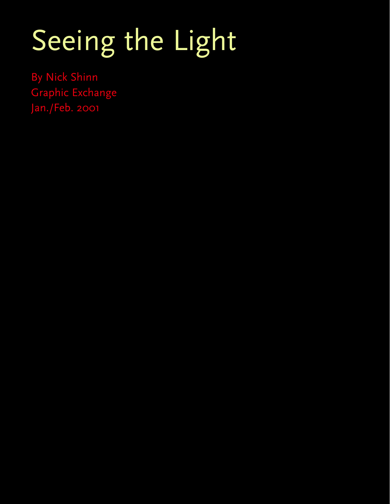# Seeing the Light

By Nick Shinn Graphic Exchange Jan./Feb. 2001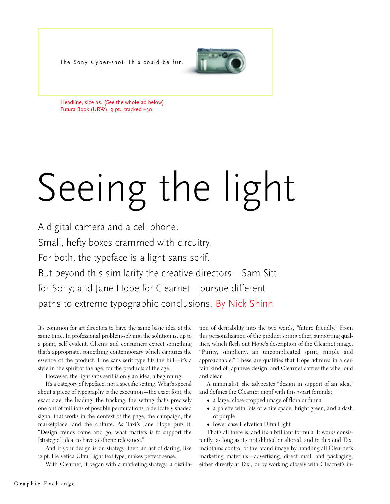The Sony Cyber-shot. This could be fun.



Headline, size as. (See the whole ad below) Futura Book (URW), 9 pt., tracked +30

# Seeing the light

A digital camera and a cell phone. Small, hefty boxes crammed with circuitry. For both, the typeface is a light sans serif. But beyond this similarity the creative directors—Sam Sitt for Sony; and Jane Hope for Clearnet—pursue different paths to extreme typographic conclusions. By Nick Shinn

It's common for art directors to have the same basic idea at the same time. In professional problem-solving, the solution is, up to a point, self evident. Clients and consumers expect something that's appropriate, something contemporary which captures the essence of the product. Fine sans serif type fits the bill—it's a style in the spirit of the age, for the products of the age.

However, the light sans serif is only an idea, a beginning.

It's a category of typeface, not a specific setting. What's special about a piece of typography is the execution—the exact font, the exact size, the leading, the tracking, the setting that's precisely one out of millions of possible permutations, a delicately shaded signal that works in the context of the page, the campaign, the marketplace, and the culture. As Taxi's Jane Hope puts it, "Design trends come and go; what matters is to support the [strategic] idea, to have aesthetic relevance."

And if your design is on strategy, then an act of daring, like 12 pt. Helvetica Ultra Light text type, makes perfect sense.

With Clearnet, it began with a marketing strategy: a distilla-

tion of desirability into the two words, "future friendly." From this personalization of the product spring other, supporting qualities, which flesh out Hope's description of the Clearnet image, "Purity, simplicity, an uncomplicated spirit, simple and approachable." These are qualities that Hope admires in a certain kind of Japanese design, and Clearnet carries the vibe loud and clear.

A minimalist, she advocates "design in support of an idea," and defines the Clearnet motif with this 3-part formula:

- a large, close-cropped image of flora or fauna.
- a palette with lots of white space, bright green, and a dash of purple
- lower case Helvetica Ultra Light

That's all there is, and it's a brilliant formula. It works consistently, as long as it's not diluted or altered, and to this end Taxi maintains control of the brand image by handling all Clearnet's marketing materials—advertising, direct mail, and packaging, either directly at Taxi, or by working closely with Clearnet's in-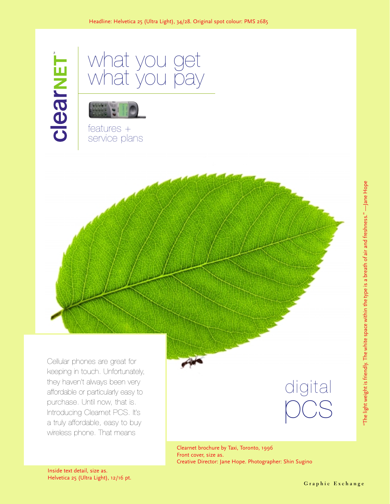



features + service plans



digital pcs

Clearnet brochure by Taxi, Toronto, 1996 Front cover, size as. Creative Director: Jane Hope. Photographer: Shin Sugino

Inside text detail, size as. Helvetica 25 (Ultra Light), 12/16 pt.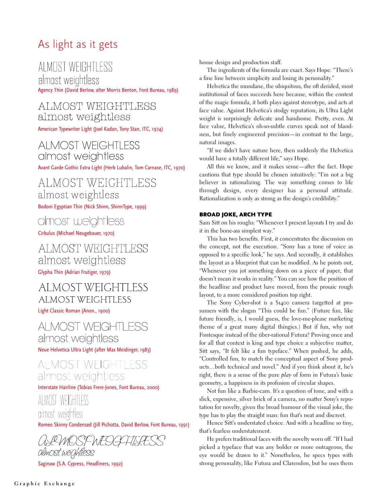# As light as it gets

# ALMOST WEIGHTLESS

almost weightless Agency Thin (David Berlow, after Morris Benton, Font Bureau, 1989)

#### ALMOST WEIGHTLESS almost weightless

American Typewriter Light (Joel Kadan, Tony Stan, ITC, 1974)

#### AI MOST WFIGHTI FSS almost weightless

Avant Garde Gothic Extra Light (Herb Lubalin, Tom Carnase, ITC, 1970)

#### ALMOST WEIGHTLESS almost weightless

Bodoni Egyptian Thin (Nick Shinn, ShinnType, 1999)

#### olmost weightless

Cirkulus (Michael Neugebauer, 1970)

#### ALMOST WEIGHTLESS almost weightless

Glypha Thin (Adrian Frutiger, 1979)

# AI MOST WEIGHTI ESS **ALMOST WEIGHTLESS**

Light Classic Roman (Anon., 1900)

# AI MOST WFIGHTI FSS almost weightless

Neue Helvetica Ultra Light (after Max Meidinger, 1983)

#### ALMOST WEIGHTLESS almost weightless

Interstate Hairline (Tobias Frere-Jones, Font Bureau, 2000)

### ALMOST WEIGHTLESS almost weightless

Romeo Skinny Condensed (Jill Pichotta, David Berlow, Font Bureau, 1991)

RMOST WFOC almost weightless

Saginaw (S.A. Cypress, Headliners, 1992)

house design and production staff.

The ingredients of the formula are exact. Says Hope: "There's a fine line between simplicity and losing its personality."

Helvetica the mundane, the ubiquitous, the oft derided, most institutional of faces succeeds here because, within the context of the magic formula, it both plays against stereotype, and acts at face value. Against Helvetica's stodgy reputation, its Ultra Light weight is surprisingly delicate and handsome. Pretty, even. At face value, Helvetica's oh-so-subtle curves speak not of blandness, but finely engineered precision—in contrast to the large, natural images.

"If we didn't have nature here, then suddenly the Helvetica would have a totally different life," says Hope.

All this we know, and it makes sense—after the fact. Hope cautions that type should be chosen intuitively: "I'm not a big believer in rationalizing. The way something comes to life through design, every designer has a personal attitude. Rationalization is only as strong as the design's credibility."

#### BROAD JOKE, ARCH TYPE

Sam Sitt on his roughs: "Whenever I present layouts I try and do it in the bone-ass simplest way."

This has two benefits. First, it concentrates the discussion on the concept, not the execution. "Sony has a tone of voice as opposed to a specific look," he says. And secondly, it establishes the layout as a blueprint that can be modified. As he points out, "Whenever you jot something down on a piece of paper, that doesn't mean it works in reality." You can see how the position of the headline and product have moved, from the prosaic rough layout, to a more considered position top right.

The Sony Cyber-shot is a \$1400 camera targetted at prosumers with the slogan "This could be fun." (Future fun, like future friendly, is, I would guess, the love-me-please marketing theme of a great many digital thingies.) But if fun, why not Fontesque instead of the über-rational Futura? Proving once and for all that context is king and type choice a subjective matter, Sitt says, "It felt like a fun typeface." When pushed, he adds, "Controlled fun, to match the conceptual aspect of Sony products…both technical and novel." And if you think about it, he's right, there is a sense of the pure *play* of form in Futura's basic geometry, a happiness in its profusion of circular shapes.

Not fun like a Barbie-cam. It's a question of tone, and with a slick, expensive, silver brick of a camera, no matter Sony's reputation for novelty, given the broad humour of the visual joke, the type has to play the straight man: fun that's neat and discreet.

Hence Sitt's understated choice. And with a headline so tiny, that's fearless understatement.

He prefers traditional faces with the novelty worn off. "If I had picked a typeface that was any bolder or more outrageous, the eye would be drawn to it." Nonetheless, he specs types with strong personality, like Futura and Clarendon, but he uses them